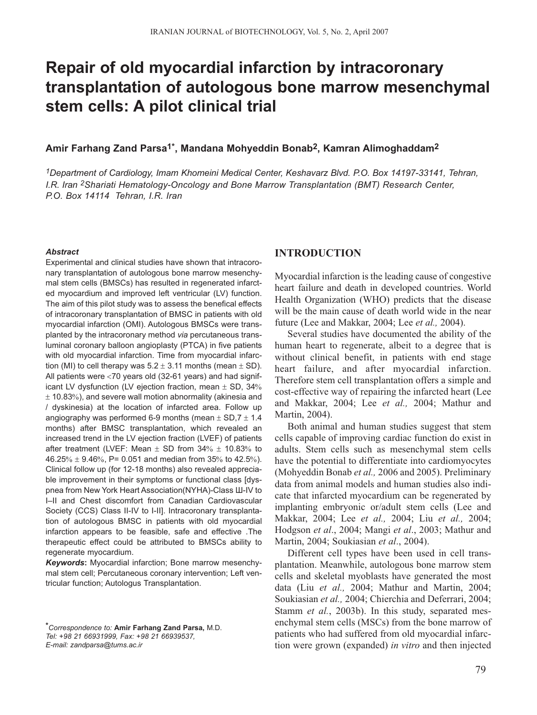# **Repair of old myocardial infarction by intracoronary transplantation of autologous bone marrow mesenchymal stem cells: A pilot clinical trial**

#### **Amir Farhang Zand Parsa1\*, Mandana Mohyeddin Bonab2, Kamran Alimoghaddam2**

*1Department of Cardiology, Imam Khomeini Medical Center, Keshavarz Blvd. P.O. Box 14197-33141, Tehran, I.R. Iran 2Shariati Hematology-Oncology and Bone Marrow Transplantation (BMT) Research Center, P.O. Box 14114 Tehran, I.R. Iran*

#### *Abstract*

Experimental and clinical studies have shown that intracoronary transplantation of autologous bone marrow mesenchymal stem cells (BMSCs) has resulted in regenerated infarcted myocardium and improved left ventricular (LV) function. The aim of this pilot study was to assess the benefical effects of intracoronary transplantation of BMSC in patients with old myocardial infarction (OMI). Autologous BMSCs were transplanted by the intracoronary method *via* percutaneous transluminal coronary balloon angioplasty (PTCA) in five patients with old myocardial infarction. Time from myocardial infarction (MI) to cell therapy was  $5.2 \pm 3.11$  months (mean  $\pm$  SD). All patients were <70 years old (32-61 years) and had significant LV dysfunction (LV ejection fraction, mean  $\pm$  SD, 34%  $\pm$  10.83%), and severe wall motion abnormality (akinesia and / dyskinesia) at the location of infarcted area. Follow up angiography was performed 6-9 months (mean  $\pm$  SD,  $7 \pm 1.4$ ) months) after BMSC transplantation, which revealed an increased trend in the LV ejection fraction (LVEF) of patients after treatment (LVEF: Mean  $\pm$  SD from 34%  $\pm$  10.83% to 46.25%  $\pm$  9.46%, P= 0.051 and median from 35% to 42.5%). Clinical follow up (for 12-18 months) also revealed appreciable improvement in their symptoms or functional class [dyspnea from New York Heart Association(NYHA)-Class Ш-IV to I–II and Chest discomfort from Canadian Cardiovascular Society (CCS) Class II-IV to I-II]. Intracoronary transplantation of autologous BMSC in patients with old myocardial infarction appears to be feasible, safe and effective .The therapeutic effect could be attributed to BMSCs ability to regenerate myocardium.

*Keywords***:** Myocardial infarction; Bone marrow mesenchymal stem cell; Percutaneous coronary intervention; Left ventricular function; Autologus Transplantation.

## **INTRODUCTION**

Myocardial infarction is the leading cause of congestive heart failure and death in developed countries. World Health Organization (WHO) predicts that the disease will be the main cause of death world wide in the near future (Lee and Makkar, 2004; Lee *et al.,* 2004).

Several studies have documented the ability of the human heart to regenerate, albeit to a degree that is without clinical benefit, in patients with end stage heart failure, and after myocardial infarction. Therefore stem cell transplantation offers a simple and cost-effective way of repairing the infarcted heart (Lee and Makkar, 2004; Lee *et al.,* 2004; Mathur and Martin, 2004).

Both animal and human studies suggest that stem cells capable of improving cardiac function do exist in adults. Stem cells such as mesenchymal stem cells have the potential to differentiate into cardiomyocytes (Mohyeddin Bonab *et al.,* 2006 and 2005). Preliminary data from animal models and human studies also indicate that infarcted myocardium can be regenerated by implanting embryonic or/adult stem cells (Lee and Makkar, 2004; Lee *et al.,* 2004; Liu *et al.,* 2004; Hodgson *et al*., 2004; Mangi *et al*., 2003; Mathur and Martin, 2004; Soukiasian *et al*., 2004).

Different cell types have been used in cell transplantation. Meanwhile, autologous bone marrow stem cells and skeletal myoblasts have generated the most data (Liu *et al.,* 2004; Mathur and Martin, 2004; Soukiasian *et al.,* 2004; Chierchia and Deferrari, 2004; Stamm *et al.*, 2003b). In this study, separated mesenchymal stem cells (MSCs) from the bone marrow of patients who had suffered from old myocardial infarction were grown (expanded) *in vitro* and then injected

*<sup>\*</sup>Correspondence to:* **Amir Farhang Zand Parsa,** M.D. *Tel: +98 21 66931999, Fax: +98 21 66939537, E-mail: zandparsa@tums.ac.ir*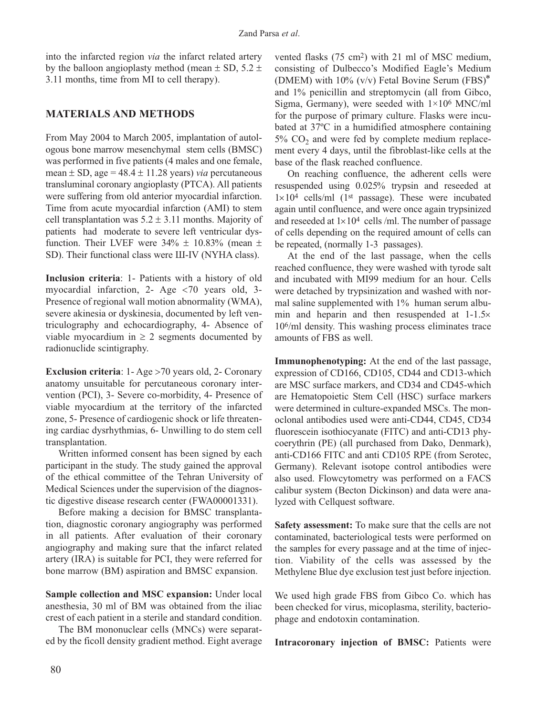into the infarcted region *via* the infarct related artery by the balloon angioplasty method (mean  $\pm$  SD, 5.2  $\pm$ 3.11 months, time from MI to cell therapy).

# **MATERIALS AND METHODS**

From May 2004 to March 2005, implantation of autologous bone marrow mesenchymal stem cells (BMSC) was performed in five patients (4 males and one female, mean  $\pm$  SD, age = 48.4  $\pm$  11.28 years) *via* percutaneous transluminal coronary angioplasty (PTCA). All patients were suffering from old anterior myocardial infarction. Time from acute myocardial infarction (AMI) to stem cell transplantation was  $5.2 \pm 3.11$  months. Majority of patients had moderate to severe left ventricular dysfunction. Their LVEF were  $34\% \pm 10.83\%$  (mean  $\pm$ SD). Their functional class were III-IV (NYHA class).

**Inclusion criteria**: 1- Patients with a history of old myocardial infarction, 2- Age <70 years old, 3- Presence of regional wall motion abnormality (WMA), severe akinesia or dyskinesia, documented by left ventriculography and echocardiography, 4- Absence of viable myocardium in  $\geq 2$  segments documented by radionuclide scintigraphy.

**Exclusion criteria**: 1- Age >70 years old, 2- Coronary anatomy unsuitable for percutaneous coronary intervention (PCI), 3- Severe co-morbidity, 4- Presence of viable myocardium at the territory of the infarcted zone, 5- Presence of cardiogenic shock or life threatening cardiac dysrhythmias, 6- Unwilling to do stem cell transplantation.

Written informed consent has been signed by each participant in the study. The study gained the approval of the ethical committee of the Tehran University of Medical Sciences under the supervision of the diagnostic digestive disease research center (FWA00001331).

Before making a decision for BMSC transplantation, diagnostic coronary angiography was performed in all patients. After evaluation of their coronary angiography and making sure that the infarct related artery (IRA) is suitable for PCI, they were referred for bone marrow (BM) aspiration and BMSC expansion.

**Sample collection and MSC expansion:** Under local anesthesia, 30 ml of BM was obtained from the iliac crest of each patient in a sterile and standard condition.

The BM mononuclear cells (MNCs) were separated by the ficoll density gradient method. Eight average

vented flasks (75 cm2) with 21 ml of MSC medium, consisting of Dulbecco's Modified Eagle's Medium (DMEM) with 10% (v/v) Fetal Bovine Serum (FBS)<sup>∗</sup> and 1% penicillin and streptomycin (all from Gibco, Sigma, Germany), were seeded with  $1\times10^6$  MNC/ml for the purpose of primary culture. Flasks were incubated at 37ºC in a humidified atmosphere containing  $5\%$  CO<sub>2</sub> and were fed by complete medium replacement every 4 days, until the fibroblast-like cells at the base of the flask reached confluence.

On reaching confluence, the adherent cells were resuspended using 0.025% trypsin and reseeded at  $1\times10^4$  cells/ml (1<sup>st</sup> passage). These were incubated again until confluence, and were once again trypsinized and reseeded at  $1\times10^4$  cells /ml. The number of passage of cells depending on the required amount of cells can be repeated, (normally 1-3 passages).

At the end of the last passage, when the cells reached confluence, they were washed with tyrode salt and incubated with MI99 medium for an hour. Cells were detached by trypsinization and washed with normal saline supplemented with 1% human serum albumin and heparin and then resuspended at 1-1.5× 106/ml density. This washing process eliminates trace amounts of FBS as well.

**Immunophenotyping:** At the end of the last passage, expression of CD166, CD105, CD44 and CD13-which are MSC surface markers, and CD34 and CD45-which are Hematopoietic Stem Cell (HSC) surface markers were determined in culture-expanded MSCs. The monoclonal antibodies used were anti-CD44, CD45, CD34 fluorescein isothiocyanate (FITC) and anti-CD13 phycoerythrin (PE) (all purchased from Dako, Denmark), anti-CD166 FITC and anti CD105 RPE (from Serotec, Germany). Relevant isotope control antibodies were also used. Flowcytometry was performed on a FACS calibur system (Becton Dickinson) and data were analyzed with Cellquest software.

**Safety assessment:** To make sure that the cells are not contaminated, bacteriological tests were performed on the samples for every passage and at the time of injection. Viability of the cells was assessed by the Methylene Blue dye exclusion test just before injection.

We used high grade FBS from Gibco Co. which has been checked for virus, micoplasma, sterility, bacteriophage and endotoxin contamination.

**Intracoronary injection of BMSC:** Patients were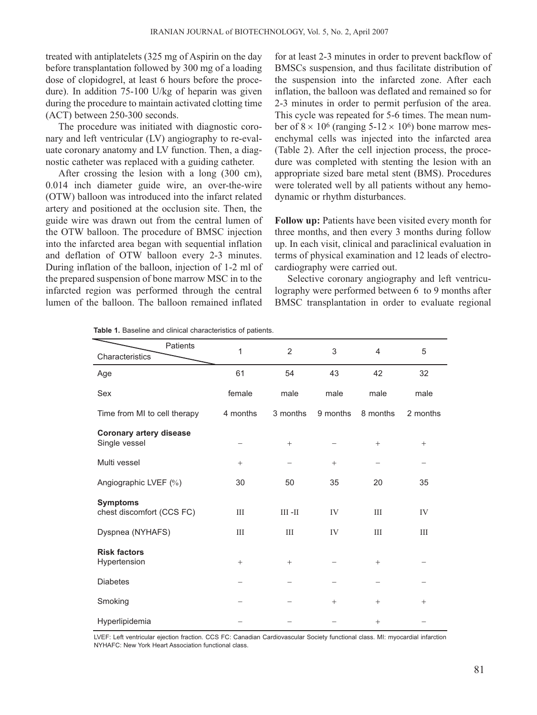treated with antiplatelets (325 mg of Aspirin on the day before transplantation followed by 300 mg of a loading dose of clopidogrel, at least 6 hours before the procedure). In addition 75-100 U/kg of heparin was given during the procedure to maintain activated clotting time (ACT) between 250-300 seconds.

The procedure was initiated with diagnostic coronary and left ventricular (LV) angiography to re-evaluate coronary anatomy and LV function. Then, a diagnostic catheter was replaced with a guiding catheter.

After crossing the lesion with a long (300 cm), 0.014 inch diameter guide wire, an over-the-wire (OTW) balloon was introduced into the infarct related artery and positioned at the occlusion site. Then, the guide wire was drawn out from the central lumen of the OTW balloon. The procedure of BMSC injection into the infarcted area began with sequential inflation and deflation of OTW balloon every 2-3 minutes. During inflation of the balloon, injection of 1-2 ml of the prepared suspension of bone marrow MSC in to the infarcted region was performed through the central lumen of the balloon. The balloon remained inflated

for at least 2-3 minutes in order to prevent backflow of BMSCs suspension, and thus facilitate distribution of the suspension into the infarcted zone. After each inflation, the balloon was deflated and remained so for 2-3 minutes in order to permit perfusion of the area. This cycle was repeated for 5-6 times. The mean number of  $8 \times 10^6$  (ranging  $5-12 \times 10^6$ ) bone marrow mesenchymal cells was injected into the infarcted area (Table 2). After the cell injection process, the procedure was completed with stenting the lesion with an appropriate sized bare metal stent (BMS). Procedures were tolerated well by all patients without any hemodynamic or rhythm disturbances.

**Follow up:** Patients have been visited every month for three months, and then every 3 months during follow up. In each visit, clinical and paraclinical evaluation in terms of physical examination and 12 leads of electrocardiography were carried out.

Selective coronary angiography and left ventriculography were performed between 6 to 9 months after BMSC transplantation in order to evaluate regional

| Patients<br>Characteristics                     | $\mathbf{1}$    | $\overline{2}$ | 3        | 4        | 5        |
|-------------------------------------------------|-----------------|----------------|----------|----------|----------|
| Age                                             | 61              | 54             | 43       | 42       | 32       |
| Sex                                             | female          | male           | male     | male     | male     |
| Time from MI to cell therapy                    | 4 months        | 3 months       | 9 months | 8 months | 2 months |
| <b>Coronary artery disease</b><br>Single vessel |                 | $^{+}$         |          | $^{+}$   | $+$      |
| Multi vessel                                    | $\! + \!\!\!\!$ |                | $^{+}$   |          |          |
| Angiographic LVEF (%)                           | 30              | 50             | 35       | 20       | 35       |
| <b>Symptoms</b><br>chest discomfort (CCS FC)    | III             | $III - II$     | IV       | III      | IV       |
| Dyspnea (NYHAFS)                                | III             | III            | IV       | III      | III      |
| <b>Risk factors</b><br>Hypertension             | $+$             | $^{+}$         |          | $+$      |          |
| <b>Diabetes</b>                                 |                 |                |          |          |          |
| Smoking                                         |                 |                | $^{+}$   | $+$      | $+$      |
| Hyperlipidemia                                  |                 |                |          | $^{+}$   |          |

**Table 1.** Baseline and clinical characteristics of patients.

LVEF: Left ventricular ejection fraction. CCS FC: Canadian Cardiovascular Society functional class. MI: myocardial infarction NYHAFC: New York Heart Association functional class.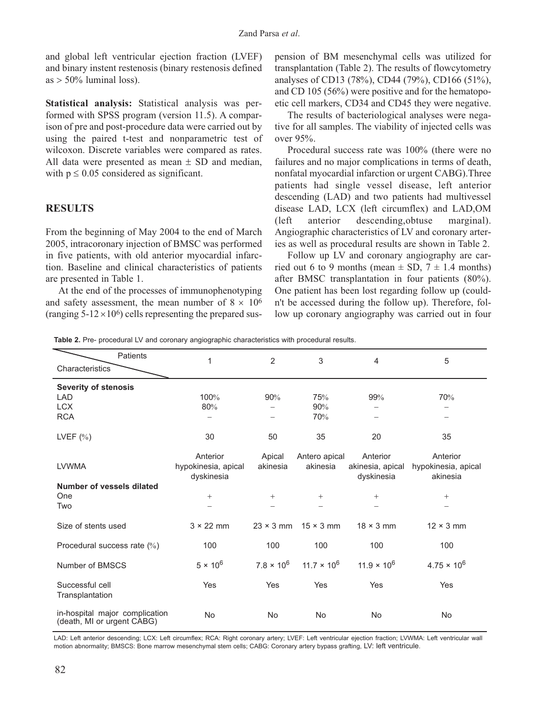and global left ventricular ejection fraction (LVEF) and binary instent restenosis (binary restenosis defined  $as > 50\%$  luminal loss).

**Statistical analysis:** Statistical analysis was performed with SPSS program (version 11.5). A comparison of pre and post-procedure data were carried out by using the paired t-test and nonparametric test of wilcoxon. Discrete variables were compared as rates. All data were presented as mean  $\pm$  SD and median, with  $p \leq 0.05$  considered as significant.

## **RESULTS**

From the beginning of May 2004 to the end of March 2005, intracoronary injection of BMSC was performed in five patients, with old anterior myocardial infarction. Baseline and clinical characteristics of patients are presented in Table 1.

At the end of the processes of immunophenotyping and safety assessment, the mean number of  $8 \times 10^6$ (ranging  $5-12 \times 10^6$ ) cells representing the prepared sus-

pension of BM mesenchymal cells was utilized for transplantation (Table 2). The results of flowcytometry analyses of CD13 (78%), CD44 (79%), CD166 (51%), and CD 105 (56%) were positive and for the hematopoetic cell markers, CD34 and CD45 they were negative.

The results of bacteriological analyses were negative for all samples. The viability of injected cells was over 95%.

Procedural success rate was 100% (there were no failures and no major complications in terms of death, nonfatal myocardial infarction or urgent CABG).Three patients had single vessel disease, left anterior descending (LAD) and two patients had multivessel disease LAD, LCX (left circumflex) and LAD,OM (left anterior descending,obtuse marginal). Angiographic characteristics of LV and coronary arteries as well as procedural results are shown in Table 2.

Follow up LV and coronary angiography are carried out 6 to 9 months (mean  $\pm$  SD, 7  $\pm$  1.4 months) after BMSC transplantation in four patients (80%). One patient has been lost regarding follow up (couldn't be accessed during the follow up). Therefore, follow up coronary angiography was carried out in four

**Table 2.** Pre- procedural LV and coronary angiographic characteristics with procedural results.

| <b>Patients</b>                                              | 1                   | $\overline{2}$    | 3                  | $\overline{4}$       | 5                    |
|--------------------------------------------------------------|---------------------|-------------------|--------------------|----------------------|----------------------|
| Characteristics                                              |                     |                   |                    |                      |                      |
| <b>Severity of stenosis</b>                                  |                     |                   |                    |                      |                      |
| <b>LAD</b>                                                   | 100%                | 90%               | 75%                | 99%                  | 70%                  |
| <b>LCX</b>                                                   | 80%                 |                   | 90%                |                      |                      |
| <b>RCA</b>                                                   |                     |                   | 70%                |                      |                      |
| LVEF $(\% )$                                                 | 30                  | 50                | 35                 | 20                   | 35                   |
|                                                              | Anterior            | Apical            | Antero apical      | Anterior             | Anterior             |
| <b>LVWMA</b>                                                 | hypokinesia, apical | akinesia          | akinesia           | akinesia, apical     | hypokinesia, apical  |
|                                                              | dyskinesia          |                   |                    | dyskinesia           | akinesia             |
| Number of vessels dilated                                    |                     |                   |                    |                      |                      |
| One                                                          | $^{+}$              | $+$               | $^{+}$             | $+$                  | $+$                  |
| Two                                                          |                     |                   |                    |                      |                      |
| Size of stents used                                          | $3 \times 22$ mm    | $23 \times 3$ mm  | $15 \times 3$ mm   | $18 \times 3$ mm     | $12 \times 3$ mm     |
| Procedural success rate $(\%)$                               | 100                 | 100               | 100                | 100                  | 100                  |
| Number of BMSCS                                              | $5 \times 10^6$     | $7.8 \times 10^6$ | $11.7 \times 10^6$ | $11.9 \times 10^{6}$ | $4.75 \times 10^{6}$ |
| Successful cell<br>Transplantation                           | Yes                 | Yes               | Yes                | Yes                  | Yes                  |
|                                                              |                     |                   |                    |                      |                      |
| in-hospital major complication<br>(death, MI or urgent CABG) | <b>No</b>           | <b>No</b>         | No                 | <b>No</b>            | <b>No</b>            |

LAD: Left anterior descending; LCX: Left circumflex; RCA: Right coronary artery; LVEF: Left ventricular ejection fraction; LVWMA: Left ventricular wall motion abnormality; BMSCS: Bone marrow mesenchymal stem cells; CABG: Coronary artery bypass grafting, LV: left ventricule.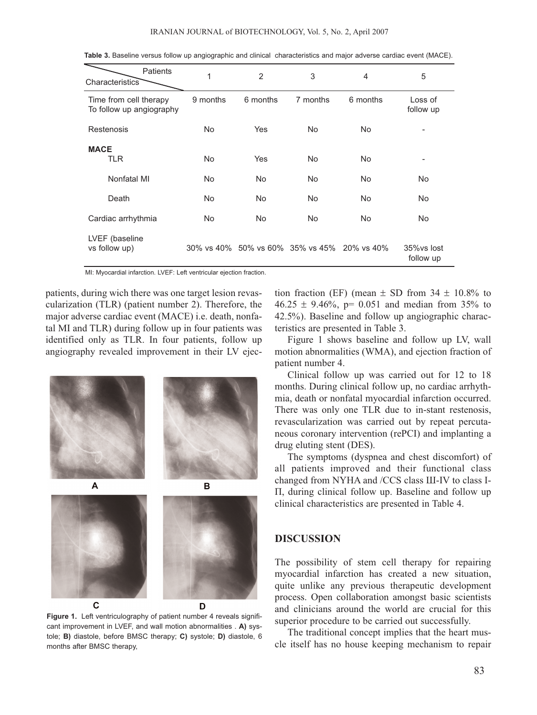| Patients<br>Characteristics                        | 1          | $\overline{2}$ | 3                                           | 4                      | 5                        |
|----------------------------------------------------|------------|----------------|---------------------------------------------|------------------------|--------------------------|
| Time from cell therapy<br>To follow up angiography | 9 months   | 6 months       | 7 months                                    | 6 months               | Loss of<br>follow up     |
| Restenosis                                         | No.        | Yes            | No.                                         | <b>No</b>              | ۰                        |
| <b>MACE</b><br><b>TLR</b><br>Nonfatal MI           | No.<br>No. | Yes<br>No      | <b>No</b><br><b>No</b>                      | <b>No</b><br><b>No</b> | ۰<br><b>No</b>           |
| Death                                              | No.        | No             | <b>No</b>                                   | <b>No</b>              | <b>No</b>                |
| Cardiac arrhythmia                                 | No.        | No             | No                                          | <b>No</b>              | <b>No</b>                |
| LVEF (baseline<br>vs follow up)                    |            |                | 30% vs 40% 50% vs 60% 35% vs 45% 20% vs 40% |                        | 35% vs lost<br>follow up |

**Table 3.** Baseline versus follow up angiographic and clinical characteristics and major adverse cardiac event (MACE).

MI: Myocardial infarction. LVEF: Left ventricular ejection fraction.

patients, during wich there was one target lesion revascularization (TLR) (patient number 2). Therefore, the major adverse cardiac event (MACE) i.e. death, nonfatal MI and TLR) during follow up in four patients was identified only as TLR. In four patients, follow up angiography revealed improvement in their LV ejec-



**Figure 1.** Left ventriculography of patient number 4 reveals significant improvement in LVEF, and wall motion abnormalities . **A)** systole; **B)** diastole, before BMSC therapy; **C)** systole; **D)** diastole, 6 months after BMSC therapy,

tion fraction (EF) (mean  $\pm$  SD from 34  $\pm$  10.8% to  $46.25 \pm 9.46\%$ , p= 0.051 and median from 35% to 42.5%). Baseline and follow up angiographic characteristics are presented in Table 3.

Figure 1 shows baseline and follow up LV, wall motion abnormalities (WMA), and ejection fraction of patient number 4.

Clinical follow up was carried out for 12 to 18 months. During clinical follow up, no cardiac arrhythmia, death or nonfatal myocardial infarction occurred. There was only one TLR due to in-stant restenosis, revascularization was carried out by repeat percutaneous coronary intervention (rePCI) and implanting a drug eluting stent (DES).

The symptoms (dyspnea and chest discomfort) of all patients improved and their functional class changed from NYHA and /CCS class Ш-IV to class I-П, during clinical follow up. Baseline and follow up clinical characteristics are presented in Table 4.

#### **DISCUSSION**

The possibility of stem cell therapy for repairing myocardial infarction has created a new situation, quite unlike any previous therapeutic development process. Open collaboration amongst basic scientists and clinicians around the world are crucial for this superior procedure to be carried out successfully.

The traditional concept implies that the heart muscle itself has no house keeping mechanism to repair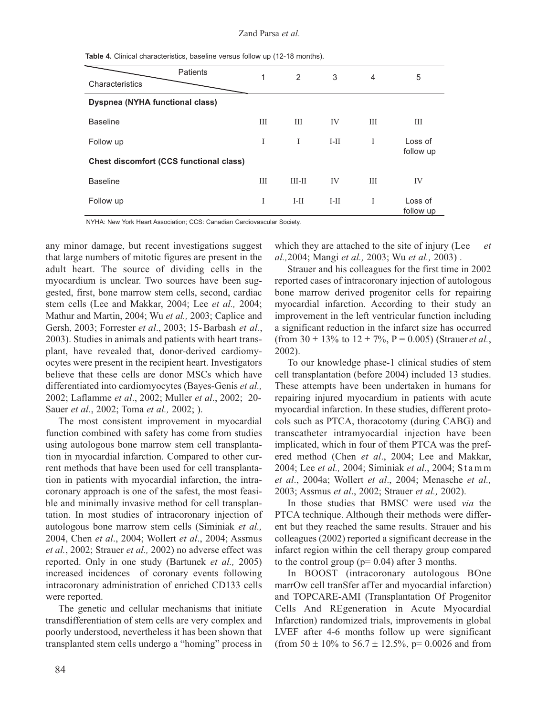Zand Parsa *et al*.

| Table 4. Clinical characteristics, baseline versus follow up (12-18 months). |  |  |  |
|------------------------------------------------------------------------------|--|--|--|
|------------------------------------------------------------------------------|--|--|--|

| <b>Patients</b>                                | 1 | 2        | 3      | 4 | 5                    |
|------------------------------------------------|---|----------|--------|---|----------------------|
| Characteristics                                |   |          |        |   |                      |
| <b>Dyspnea (NYHA functional class)</b>         |   |          |        |   |                      |
| <b>Baseline</b>                                | Ш | Ш        | IV     | Ш | Ш                    |
| Follow up                                      | L | I        | $I-II$ | I | Loss of              |
| <b>Chest discomfort (CCS functional class)</b> |   |          |        |   | follow up            |
| <b>Baseline</b>                                | Ш | $III-II$ | IV     | Ш | IV                   |
| Follow up                                      | I | $I-II$   | $I-II$ | I | Loss of<br>follow up |

NYHA: New York Heart Association; CCS: Canadian Cardiovascular Society.

any minor damage, but recent investigations suggest that large numbers of mitotic figures are present in the adult heart. The source of dividing cells in the myocardium is unclear. Two sources have been suggested, first, bone marrow stem cells, second, cardiac stem cells (Lee and Makkar, 2004; Lee *et al.,* 2004; Mathur and Martin, 2004; Wu *et al.,* 2003; Caplice and Gersh, 2003; Forrester *et al*., 2003; 15-Barbash *et al.*, 2003). Studies in animals and patients with heart transplant, have revealed that, donor-derived cardiomyocytes were present in the recipient heart. Investigators believe that these cells are donor MSCs which have differentiated into cardiomyocytes (Bayes-Genis *et al.,* 2002; Laflamme *et al*., 2002; Muller *et al*., 2002; 20- Sauer *et al.*, 2002; Toma *et al.,* 2002; ).

The most consistent improvement in myocardial function combined with safety has come from studies using autologous bone marrow stem cell transplantation in myocardial infarction. Compared to other current methods that have been used for cell transplantation in patients with myocardial infarction, the intracoronary approach is one of the safest, the most feasible and minimally invasive method for cell transplantation. In most studies of intracoronary injection of autologous bone marrow stem cells (Siminiak *et al.,* 2004, Chen *et al*., 2004; Wollert *et al*., 2004; Assmus *et al.*, 2002; Strauer *et al.,* 2002) no adverse effect was reported. Only in one study (Bartunek *et al.,* 2005) increased incidences of coronary events following intracoronary administration of enriched CD133 cells were reported.

The genetic and cellular mechanisms that initiate transdifferentiation of stem cells are very complex and poorly understood, nevertheless it has been shown that transplanted stem cells undergo a "homing" process in

which they are attached to the site of injury (Lee *et al.,*2004; Mangi *et al.,* 2003; Wu *et al.,* 2003) .

Strauer and his colleagues for the first time in 2002 reported cases of intracoronary injection of autologous bone marrow derived progenitor cells for repairing myocardial infarction. According to their study an improvement in the left ventricular function including a significant reduction in the infarct size has occurred (from  $30 \pm 13\%$  to  $12 \pm 7\%$ , P = 0.005) (Strauer *et al.*, 2002).

To our knowledge phase-1 clinical studies of stem cell transplantation (before 2004) included 13 studies. These attempts have been undertaken in humans for repairing injured myocardium in patients with acute myocardial infarction. In these studies, different protocols such as PTCA, thoracotomy (during CABG) and transcatheter intramyocardial injection have been implicated, which in four of them PTCA was the prefered method (Chen *et al*., 2004; Lee and Makkar, 2004; Lee *et al.,* 2004; Siminiak *et al*., 2004; Stamm *et al*., 2004a; Wollert *et al*., 2004; Menasche *et al.,* 2003; Assmus *et al*., 2002; Strauer *et al.,* 2002).

In those studies that BMSC were used *via* the PTCA technique. Although their methods were different but they reached the same results. Strauer and his colleagues (2002) reported a significant decrease in the infarct region within the cell therapy group compared to the control group ( $p= 0.04$ ) after 3 months.

In BOOST (intracoronary autologous BOne marrOw cell tranSfer afTer and myocardial infarction) and TOPCARE-AMI (Transplantation Of Progenitor Cells And REgeneration in Acute Myocardial Infarction) randomized trials, improvements in global LVEF after 4-6 months follow up were significant (from  $50 \pm 10\%$  to  $56.7 \pm 12.5\%$ , p= 0.0026 and from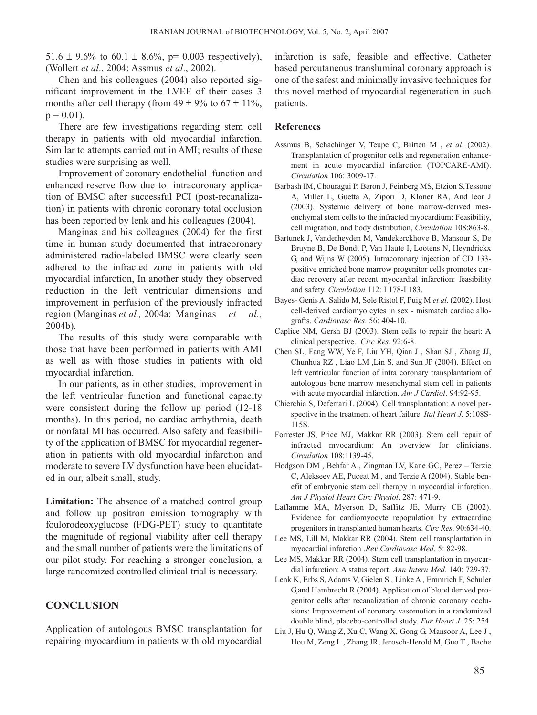51.6  $\pm$  9.6% to 60.1  $\pm$  8.6%, p= 0.003 respectively), (Wollert *et al*., 2004; Assmus *et al*., 2002).

Chen and his colleagues (2004) also reported significant improvement in the LVEF of their cases 3 months after cell therapy (from  $49 \pm 9\%$  to  $67 \pm 11\%$ ,  $p = 0.01$ ).

There are few investigations regarding stem cell therapy in patients with old myocardial infarction. Similar to attempts carried out in AMI; results of these studies were surprising as well.

Improvement of coronary endothelial function and enhanced reserve flow due to intracoronary application of BMSC after successful PCI (post-recanalization) in patients with chronic coronary total occlusion has been reported by lenk and his colleagues (2004).

Manginas and his colleagues (2004) for the first time in human study documented that intracoronary administered radio-labeled BMSC were clearly seen adhered to the infracted zone in patients with old myocardial infarction, In another study they observed reduction in the left ventricular dimensions and improvement in perfusion of the previously infracted region (Manginas *et al.,* 2004a; Manginas *et al.,* 2004b).

The results of this study were comparable with those that have been performed in patients with AMI as well as with those studies in patients with old myocardial infarction.

In our patients, as in other studies, improvement in the left ventricular function and functional capacity were consistent during the follow up period (12-18 months). In this period, no cardiac arrhythmia, death or nonfatal MI has occurred. Also safety and feasibility of the application of BMSC for myocardial regeneration in patients with old myocardial infarction and moderate to severe LV dysfunction have been elucidated in our, albeit small, study.

**Limitation:** The absence of a matched control group and follow up positron emission tomography with foulorodeoxyglucose (FDG-PET) study to quantitate the magnitude of regional viability after cell therapy and the small number of patients were the limitations of our pilot study. For reaching a stronger conclusion, a large randomized controlled clinical trial is necessary.

# **CONCLUSION**

Application of autologous BMSC transplantation for repairing myocardium in patients with old myocardial infarction is safe, feasible and effective. Catheter based percutaneous transluminal coronary approach is one of the safest and minimally invasive techniques for this novel method of myocardial regeneration in such patients.

#### **References**

- Assmus B, Schachinger V, Teupe C, Britten M , *et al*. (2002). Transplantation of progenitor cells and regeneration enhancement in acute myocardial infarction (TOPCARE-AMI). *Circulation* 106: 3009-17.
- Barbash IM, Chouragui P, Baron J, Feinberg MS, Etzion S,Tessone A, Miller L, Guetta A, Zipori D, Kloner RA, And leor J (2003). Systemic delivery of bone marrow-derived mesenchymal stem cells to the infracted myocardium: Feasibility, cell migration, and body distribution, *Circulation* 108:863-8.
- Bartunek J, Vanderheyden M, Vandekerckhove B, Mansour S, De Bruyne B, De Bondt P, Van Haute I, Lootens N, Heyndrickx G, and Wijns W (2005). Intracoronary injection of CD 133 positive enriched bone marrow progenitor cells promotes cardiac recovery after recent myocardial infarction: feasibility and safety. *Circulation* 112: I 178-I 183.
- Bayes- Genis A, Salido M, Sole Ristol F, Puig M *et al*. (2002). Host cell-derived cardiomyo cytes in sex - mismatch cardiac allografts. *Cardiovasc Res*. 56: 404-10.
- Caplice NM, Gersh BJ (2003). Stem cells to repair the heart: A clinical perspective. *Circ Res*. 92:6-8.
- Chen SL, Fang WW, Ye F, Liu YH, Qian J , Shan SJ , Zhang JJ, Chunhua RZ , Liao LM ,Lin S, and Sun JP (2004). Effect on left ventricular function of intra coronary transplantatiom of autologous bone marrow mesenchymal stem cell in patients with acute myocardial infarction. *Am J Cardiol*. 94:92-95.
- Chierchia S, Deferrari L (2004). Cell transplantation: A novel perspective in the treatment of heart failure. *Ital Heart J*. 5:108S-115S.
- Forrester JS, Price MJ, Makkar RR (2003). Stem cell repair of infracted myocardium: An overview for clinicians. *Circulation* 108:1139-45.
- Hodgson DM , Behfar A , Zingman LV, Kane GC, Perez Terzie C, Alekseev AE, Puceat M , and Terzie A (2004). Stable benefit of embryonic stem cell therapy in myocardial infarction. *Am J Physiol Heart Circ Physiol*. 287: 471-9.
- Laflamme MA, Myerson D, Saffitz JE, Murry CE (2002). Evidence for cardiomyocyte repopulation by extracardiac progenitors in transplanted human hearts. *Circ Res*. 90:634-40.
- Lee MS, Lill M, Makkar RR (2004). Stem cell transplantation in myocardial infarction .*Rev Cardiovasc Med*. 5: 82-98.
- Lee MS, Makkar RR (2004). Stem cell transplantation in myocardial infarction: A status report. *Ann Intern Med*. 140: 729-37.
- Lenk K, Erbs S, Adams V, Gielen S , Linke A , Emmrich F, Schuler G,and Hambrecht R (2004). Application of blood derived progenitor cells after recanalization of chronic coronary occlusions: Improvement of coronary vasomotion in a randomized double blind, placebo-controlled study. *Eur Heart J*. 25: 254
- Liu J, Hu Q, Wang Z, Xu C, Wang X, Gong G, Mansoor A, Lee J , Hou M, Zeng L , Zhang JR, Jerosch-Herold M, Guo T , Bache